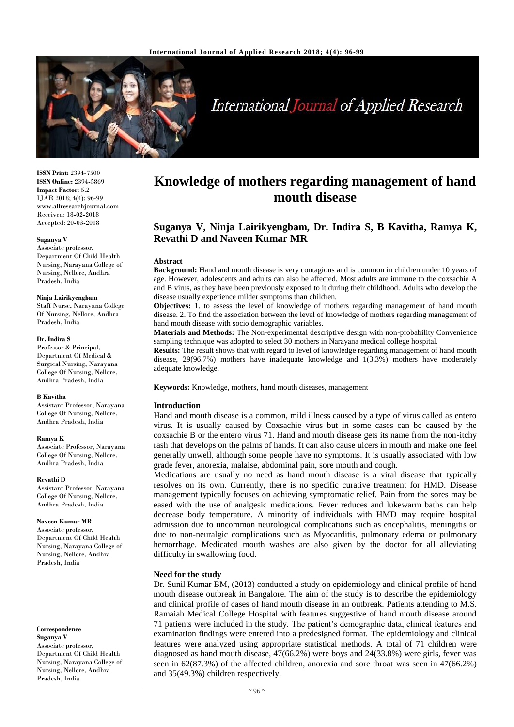

# **International Journal of Applied Research**

**ISSN Print:** 2394**-**7500 **ISSN Online:** 2394**-**5869 **Impact Factor:** 5.2 IJAR 2018; 4(4): 96-99 www.allresearchjournal.com Received: 18**-**02**-**2018 Accepted: 20**-**03**-**2018

#### **Suganya V**

Associate professor, Department Of Child Health Nursing, Narayana College of Nursing, Nellore, Andhra Pradesh, India

#### **Ninja Lairikyengbam**

Staff Nurse, Narayana College Of Nursing, Nellore, Andhra Pradesh, India

#### **Dr. Indira S**

Professor & Principal, Department Of Medical & Surgical Nursing, Narayana College Of Nursing, Nellore, Andhra Pradesh, India

#### **B Kavitha**

Assistant Professor, Narayana College Of Nursing, Nellore, Andhra Pradesh, India

#### **Ramya K**

Associate Professor, Narayana College Of Nursing, Nellore, Andhra Pradesh, India

#### **Revathi D**

Assistant Professor, Narayana College Of Nursing, Nellore, Andhra Pradesh, India

#### **Naveen Kumar MR**

Associate professor, Department Of Child Health Nursing, Narayana College of Nursing, Nellore, Andhra Pradesh, India

# **Correspondence**

**Suganya V** Associate professor, Department Of Child Health Nursing, Narayana College of Nursing, Nellore, Andhra Pradesh, India

# **Knowledge of mothers regarding management of hand mouth disease**

# **Suganya V, Ninja Lairikyengbam, Dr. Indira S, B Kavitha, Ramya K, Revathi D and Naveen Kumar MR**

#### **Abstract**

**Background:** Hand and mouth disease is very contagious and is common in children under 10 years of age. However, adolescents and adults can also be affected. Most adults are immune to the coxsachie A and B virus, as they have been previously exposed to it during their childhood. Adults who develop the disease usually experience milder symptoms than children.

**Objectives:** 1. to assess the level of knowledge of mothers regarding management of hand mouth disease. 2. To find the association between the level of knowledge of mothers regarding management of hand mouth disease with socio demographic variables.

**Materials and Methods:** The Non**-**experimental descriptive design with non**-**probability Convenience sampling technique was adopted to select 30 mothers in Narayana medical college hospital.

**Results:** The result shows that with regard to level of knowledge regarding management of hand mouth disease, 29(96.7%) mothers have inadequate knowledge and 1(3.3%) mothers have moderately adequate knowledge.

**Keywords:** Knowledge, mothers, hand mouth diseases, management

#### **Introduction**

Hand and mouth disease is a common, mild illness caused by a type of virus called as entero virus. It is usually caused by Coxsachie virus but in some cases can be caused by the coxsachie B or the entero virus 71. Hand and mouth disease gets its name from the non-itchy rash that develops on the palms of hands. It can also cause ulcers in mouth and make one feel generally unwell, although some people have no symptoms. It is usually associated with low grade fever, anorexia, malaise, abdominal pain, sore mouth and cough.

Medications are usually no need as hand mouth disease is a viral disease that typically resolves on its own. Currently, there is no specific curative treatment for HMD. Disease management typically focuses on achieving symptomatic relief. Pain from the sores may be eased with the use of analgesic medications. Fever reduces and lukewarm baths can help decrease body temperature. A minority of individuals with HMD may require hospital admission due to uncommon neurological complications such as encephalitis, meningitis or due to non**-**neuralgic complications such as Myocarditis, pulmonary edema or pulmonary hemorrhage. Medicated mouth washes are also given by the doctor for all alleviating difficulty in swallowing food.

#### **Need for the study**

Dr. Sunil Kumar BM, (2013) conducted a study on epidemiology and clinical profile of hand mouth disease outbreak in Bangalore. The aim of the study is to describe the epidemiology and clinical profile of cases of hand mouth disease in an outbreak. Patients attending to M.S. Ramaiah Medical College Hospital with features suggestive of hand mouth disease around 71 patients were included in the study. The patient's demographic data, clinical features and examination findings were entered into a predesigned format. The epidemiology and clinical features were analyzed using appropriate statistical methods. A total of 71 children were diagnosed as hand mouth disease, 47(66.2%) were boys and 24(33.8%) were girls, fever was seen in 62(87.3%) of the affected children, anorexia and sore throat was seen in 47(66.2%) and 35(49.3%) children respectively.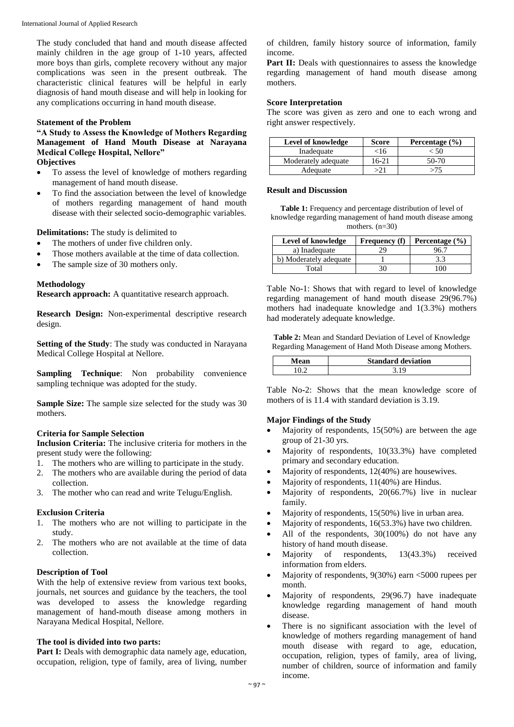The study concluded that hand and mouth disease affected mainly children in the age group of 1**-**10 years, affected more boys than girls, complete recovery without any major complications was seen in the present outbreak. The characteristic clinical features will be helpful in early diagnosis of hand mouth disease and will help in looking for any complications occurring in hand mouth disease.

### **Statement of the Problem**

**"A Study to Assess the Knowledge of Mothers Regarding Management of Hand Mouth Disease at Narayana Medical College Hospital, Nellore" Objectives**

- To assess the level of knowledge of mothers regarding management of hand mouth disease.
- To find the association between the level of knowledge of mothers regarding management of hand mouth disease with their selected socio**-**demographic variables.

## **Delimitations:** The study is delimited to

- The mothers of under five children only.
- Those mothers available at the time of data collection.
- The sample size of 30 mothers only.

# **Methodology**

**Research approach:** A quantitative research approach.

**Research Design:** Non**-**experimental descriptive research design.

**Setting of the Study**: The study was conducted in Narayana Medical College Hospital at Nellore.

**Sampling Technique**: Non probability convenience sampling technique was adopted for the study.

Sample Size: The sample size selected for the study was 30 mothers.

#### **Criteria for Sample Selection**

**Inclusion Criteria:** The inclusive criteria for mothers in the present study were the following:

- 1. The mothers who are willing to participate in the study.
- 2. The mothers who are available during the period of data collection.
- 3. The mother who can read and write Telugu/English.

# **Exclusion Criteria**

- 1. The mothers who are not willing to participate in the study.
- 2. The mothers who are not available at the time of data collection.

## **Description of Tool**

With the help of extensive review from various text books, journals, net sources and guidance by the teachers, the tool was developed to assess the knowledge regarding management of hand**-**mouth disease among mothers in Narayana Medical Hospital, Nellore.

# **The tool is divided into two parts:**

**Part I:** Deals with demographic data namely age, education, occupation, religion, type of family, area of living, number of children, family history source of information, family income.

**Part II:** Deals with questionnaires to assess the knowledge regarding management of hand mouth disease among mothers.

### **Score Interpretation**

The score was given as zero and one to each wrong and right answer respectively.

| Level of knowledge  | <b>Score</b> | Percentage $(\% )$ |
|---------------------|--------------|--------------------|
| Inadequate          | <16          | < 50               |
| Moderately adequate | $16 - 21$    | 50-70              |
| Adequate            | >21          | >75                |

#### **Result and Discussion**

**Table 1:** Frequency and percentage distribution of level of knowledge regarding management of hand mouth disease among mothers. (n=30)

| Level of knowledge     | <b>Frequency</b> (f) | Percentage $(\% )$ |
|------------------------|----------------------|--------------------|
| a) Inadequate          |                      | 96.7               |
| b) Moderately adequate |                      |                    |
| Total                  |                      | 100                |

Table No**-**1: Shows that with regard to level of knowledge regarding management of hand mouth disease 29(96.7%) mothers had inadequate knowledge and 1(3.3%) mothers had moderately adequate knowledge.

**Table 2:** Mean and Standard Deviation of Level of Knowledge Regarding Management of Hand Moth Disease among Mothers.

| <b>Standard deviation</b> |
|---------------------------|
|                           |

Table No**-**2: Shows that the mean knowledge score of mothers of is 11.4 with standard deviation is 3.19.

# **Major Findings of the Study**

- Majority of respondents, 15(50%) are between the age group of 21**-**30 yrs.
- Majority of respondents, 10(33.3%) have completed primary and secondary education.
- Majority of respondents, 12(40%) are housewives.
- Majority of respondents, 11(40%) are Hindus.
- Majority of respondents, 20(66.7%) live in nuclear family.
- Majority of respondents, 15(50%) live in urban area.
- Majority of respondents, 16(53.3%) have two children.
- All of the respondents,  $30(100%)$  do not have any history of hand mouth disease.
- Majority of respondents, 13(43.3%) received information from elders.
- Majority of respondents, 9(30%) earn <5000 rupees per month.
- Majority of respondents, 29(96.7) have inadequate knowledge regarding management of hand mouth disease.
- There is no significant association with the level of knowledge of mothers regarding management of hand mouth disease with regard to age, education, occupation, religion, types of family, area of living, number of children, source of information and family income.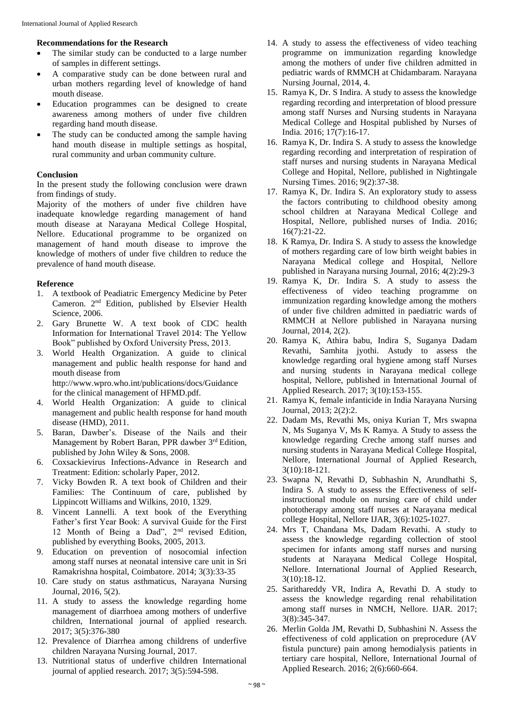#### **Recommendations for the Research**

- The similar study can be conducted to a large number of samples in different settings.
- A comparative study can be done between rural and urban mothers regarding level of knowledge of hand mouth disease.
- Education programmes can be designed to create awareness among mothers of under five children regarding hand mouth disease.
- The study can be conducted among the sample having hand mouth disease in multiple settings as hospital, rural community and urban community culture.

#### **Conclusion**

In the present study the following conclusion were drawn from findings of study.

Majority of the mothers of under five children have inadequate knowledge regarding management of hand mouth disease at Narayana Medical College Hospital, Nellore. Educational programme to be organized on management of hand mouth disease to improve the knowledge of mothers of under five children to reduce the prevalence of hand mouth disease.

### **Reference**

- 1. A textbook of Peadiatric Emergency Medicine by Peter Cameron. 2nd Edition, published by Elsevier Health Science, 2006.
- 2. Gary Brunette W. A text book of CDC health Information for International Travel 2014: The Yellow Book" published by Oxford University Press, 2013.
- 3. World Health Organization. A guide to clinical management and public health response for hand and mouth disease from http://www.wpro.who.int/publications/docs/Guidance for the clinical management of HFMD.pdf.
- 4. World Health Organization: A guide to clinical management and public health response for hand mouth disease (HMD), 2011.
- 5. Baran, Dawber's. Disease of the Nails and their Management by Robert Baran, PPR dawber 3<sup>rd</sup> Edition, published by John Wiley & Sons, 2008.
- 6. Coxsackievirus Infections**-**Advance in Research and Treatment: Edition: scholarly Paper, 2012.
- 7. Vicky Bowden R. A text book of Children and their Families: The Continuum of care, published by Lippincott Williams and Wilkins, 2010, 1329.
- 8. Vincent Lannelli. A text book of the Everything Father's first Year Book: A survival Guide for the First 12 Month of Being a Dad", 2nd revised Edition, published by everything Books, 2005, 2013.
- 9. Education on prevention of nosocomial infection among staff nurses at neonatal intensive care unit in Sri Ramakrishna hospital, Coimbatore. 2014; 3(3):33**-**35
- 10. Care study on status asthmaticus, Narayana Nursing Journal, 2016, 5(2).
- 11. A study to assess the knowledge regarding home management of diarrhoea among mothers of underfive children, International journal of applied research. 2017; 3(5):376**-**380
- 12. Prevalence of Diarrhea among childrens of underfive children Narayana Nursing Journal, 2017.
- 13. Nutritional status of underfive children International journal of applied research. 2017; 3(5):594**-**598.
- 14. A study to assess the effectiveness of video teaching programme on immunization regarding knowledge among the mothers of under five children admitted in pediatric wards of RMMCH at Chidambaram. Narayana Nursing Journal, 2014, 4.
- 15. Ramya K, Dr. S Indira. A study to assess the knowledge regarding recording and interpretation of blood pressure among staff Nurses and Nursing students in Narayana Medical College and Hospital published by Nurses of India. 2016; 17(7):16**-**17.
- 16. Ramya K, Dr. Indira S. A study to assess the knowledge regarding recording and interpretation of respiration of staff nurses and nursing students in Narayana Medical College and Hopital, Nellore, published in Nightingale Nursing Times. 2016; 9(2):37**-**38.
- 17. Ramya K, Dr. Indira S. An exploratory study to assess the factors contributing to childhood obesity among school children at Narayana Medical College and Hospital, Nellore, published nurses of India. 2016; 16(7):21**-**22.
- 18. K Ramya, Dr. Indira S. A study to assess the knowledge of mothers regarding care of low birth weight babies in Narayana Medical college and Hospital, Nellore published in Narayana nursing Journal, 2016; 4(2):29**-**3
- 19. Ramya K, Dr. Indira S. A study to assess the effectiveness of video teaching programme on immunization regarding knowledge among the mothers of under five children admitted in paediatric wards of RMMCH at Nellore published in Narayana nursing Journal, 2014, 2(2).
- 20. Ramya K, Athira babu, Indira S, Suganya Dadam Revathi, Samhita jyothi. Astudy to assess the knowledge regarding oral hygiene among staff Nurses and nursing students in Narayana medical college hospital, Nellore, published in International Journal of Applied Research. 2017; 3(10):153**-**155.
- 21. Ramya K, female infanticide in India Narayana Nursing Journal, 2013; 2(2):2.
- 22. Dadam Ms, Revathi Ms, oniya Kurian T, Mrs swapna N, Ms Suganya V, Ms K Ramya. A Study to assess the knowledge regarding Creche among staff nurses and nursing students in Narayana Medical College Hospital, Nellore, International Journal of Applied Research, 3(10):18**-**121.
- 23. Swapna N, Revathi D, Subhashin N, Arundhathi S, Indira S. A study to assess the Effectiveness of selfinstructional module on nursing care of child under phototherapy among staff nurses at Narayana medical college Hospital, Nellore IJAR, 3(6):1025**-**1027.
- 24. Mrs T, Chandana Ms, Dadam Revathi. A study to assess the knowledge regarding collection of stool specimen for infants among staff nurses and nursing students at Narayana Medical College Hospital, Nellore. International Journal of Applied Research, 3(10):18**-**12.
- 25. Sarithareddy VR, Indira A, Revathi D. A study to assess the knowledge regarding renal rehabilitation among staff nurses in NMCH, Nellore. IJAR. 2017; 3(8):345**-**347.
- 26. Merlin Golda JM, Revathi D, Subhashini N. Assess the effectiveness of cold application on preprocedure (AV fistula puncture) pain among hemodialysis patients in tertiary care hospital, Nellore, International Journal of Applied Research. 2016; 2(6):660**-**664.